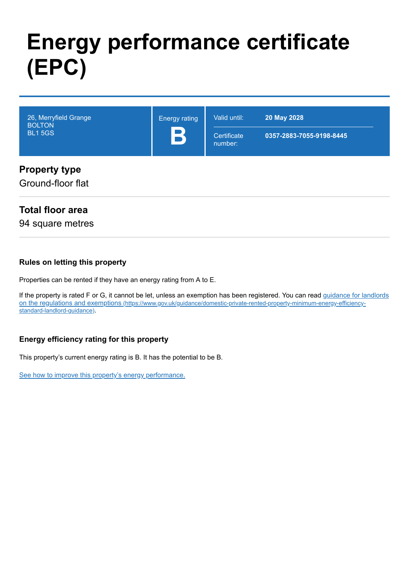# **Energy performance certificate (EPC)**

| 26, Merryfield Grange<br><b>BOLTON</b><br><b>BL1 5GS</b> | <b>Energy rating</b><br>B | Valid until:<br>Certificate<br>number: | 20 May 2028<br>0357-2883-7055-9198-8445 |
|----------------------------------------------------------|---------------------------|----------------------------------------|-----------------------------------------|
| <b>Property type</b>                                     |                           |                                        |                                         |

# **Property type**

Ground-floor flat

# **Total floor area**

94 square metres

#### **Rules on letting this property**

Properties can be rented if they have an energy rating from A to E.

[If the property is rated F or G, it cannot be let, unless an exemption has been registered. You can read guidance for landlords](https://www.gov.uk/guidance/domestic-private-rented-property-minimum-energy-efficiency-standard-landlord-guidance) on the regulations and exemptions (https://www.gov.uk/guidance/domestic-private-rented-property-minimum-energy-efficiencystandard-landlord-guidance).

## **Energy efficiency rating for this property**

This property's current energy rating is B. It has the potential to be B.

[See how to improve this property's energy performance.](#page-3-0)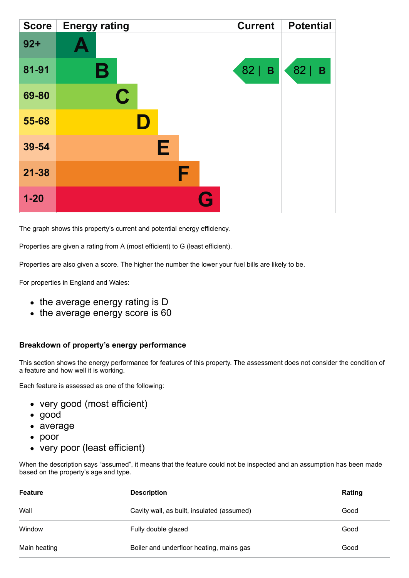| <b>Score</b> | <b>Energy rating</b> | <b>Current</b>     | <b>Potential</b>   |
|--------------|----------------------|--------------------|--------------------|
| $92 +$       |                      |                    |                    |
| 81-91        | В                    | 82 <br>$\mathbf B$ | 82 <br>$\mathbf B$ |
| 69-80        | C                    |                    |                    |
| 55-68        |                      |                    |                    |
| 39-54        | E                    |                    |                    |
| $21 - 38$    | F                    |                    |                    |
| $1 - 20$     | Q                    |                    |                    |

The graph shows this property's current and potential energy efficiency.

Properties are given a rating from A (most efficient) to G (least efficient).

Properties are also given a score. The higher the number the lower your fuel bills are likely to be.

For properties in England and Wales:

- the average energy rating is D
- the average energy score is 60

#### **Breakdown of property's energy performance**

This section shows the energy performance for features of this property. The assessment does not consider the condition of a feature and how well it is working.

Each feature is assessed as one of the following:

- very good (most efficient)
- good
- average
- poor
- very poor (least efficient)

When the description says "assumed", it means that the feature could not be inspected and an assumption has been made based on the property's age and type.

| <b>Feature</b> | <b>Description</b>                         | Rating |
|----------------|--------------------------------------------|--------|
| Wall           | Cavity wall, as built, insulated (assumed) | Good   |
| Window         | Fully double glazed                        | Good   |
| Main heating   | Boiler and underfloor heating, mains gas   | Good   |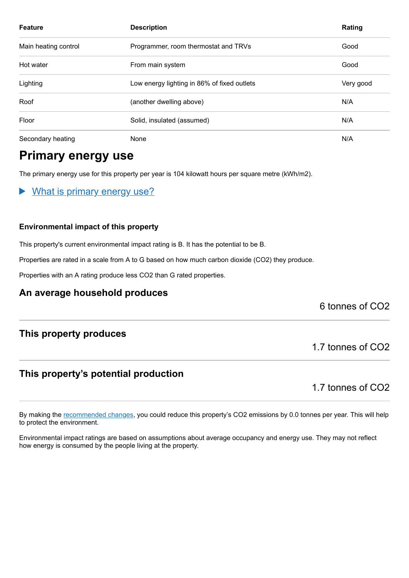| <b>Feature</b>       | <b>Description</b>                          | Rating    |
|----------------------|---------------------------------------------|-----------|
| Main heating control | Programmer, room thermostat and TRVs        | Good      |
| Hot water            | From main system                            | Good      |
| Lighting             | Low energy lighting in 86% of fixed outlets | Very good |
| Roof                 | (another dwelling above)                    | N/A       |
| Floor                | Solid, insulated (assumed)                  | N/A       |
| Secondary heating    | None                                        | N/A       |

# **Primary energy use**

The primary energy use for this property per year is 104 kilowatt hours per square metre (kWh/m2).

What is primary energy use?  $\blacktriangleright$ 

#### **Environmental impact of this property**

This property's current environmental impact rating is B. It has the potential to be B.

Properties are rated in a scale from A to G based on how much carbon dioxide (CO2) they produce.

Properties with an A rating produce less CO2 than G rated properties.

## **An average household produces**

6 tonnes of CO2

## **This property produces**

## **This property's potential production**

1.7 tonnes of CO2

1.7 tonnes of CO2

By making the [recommended changes,](#page-3-0) you could reduce this property's CO2 emissions by 0.0 tonnes per year. This will help to protect the environment.

Environmental impact ratings are based on assumptions about average occupancy and energy use. They may not reflect how energy is consumed by the people living at the property.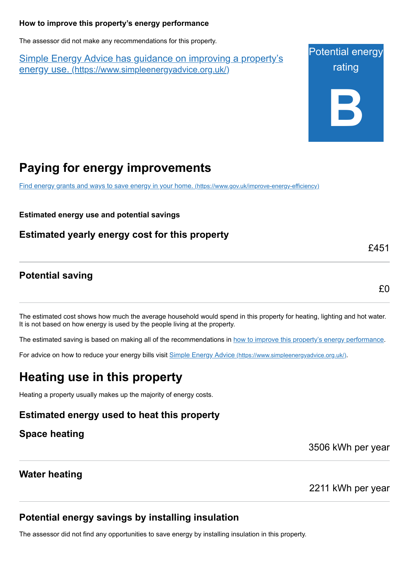#### <span id="page-3-0"></span>**How to improve this property's energy performance**

The assessor did not make any recommendations for this property.

Simple Energy Advice has guidance on improving a property's energy use. [\(https://www.simpleenergyadvice.org.uk/\)](https://www.simpleenergyadvice.org.uk/)

Potential energy rating **B**

# **Paying for energy improvements**

[Find energy grants and ways to save energy in your home.](https://www.gov.uk/improve-energy-efficiency) (https://www.gov.uk/improve-energy-efficiency)

**Estimated energy use and potential savings**

**Estimated yearly energy cost for this property**

## **Potential saving**

£0

£451

The estimated cost shows how much the average household would spend in this property for heating, lighting and hot water. It is not based on how energy is used by the people living at the property.

The estimated saving is based on making all of the recommendations in [how to improve this property's energy performance.](#page-3-0)

For advice on how to reduce your energy bills visit Simple Energy Advice [\(https://www.simpleenergyadvice.org.uk/\)](https://www.simpleenergyadvice.org.uk/).

# **Heating use in this property**

Heating a property usually makes up the majority of energy costs.

# **Estimated energy used to heat this property**

**Space heating**

3506 kWh per year

# **Water heating**

2211 kWh per year

# **Potential energy savings by installing insulation**

The assessor did not find any opportunities to save energy by installing insulation in this property.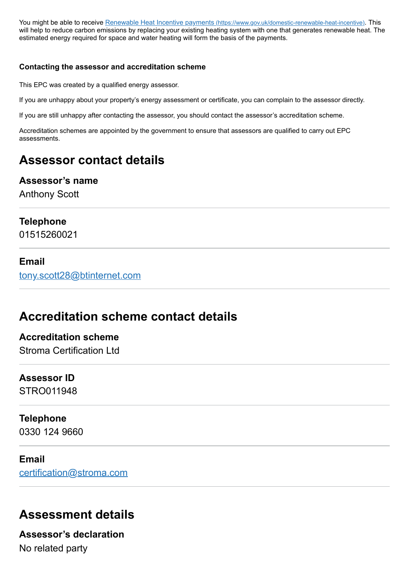You might be able to receive Renewable Heat Incentive payments [\(https://www.gov.uk/domestic-renewable-heat-incentive\)](https://www.gov.uk/domestic-renewable-heat-incentive). This will help to reduce carbon emissions by replacing your existing heating system with one that generates renewable heat. The estimated energy required for space and water heating will form the basis of the payments.

#### **Contacting the assessor and accreditation scheme**

This EPC was created by a qualified energy assessor.

If you are unhappy about your property's energy assessment or certificate, you can complain to the assessor directly.

If you are still unhappy after contacting the assessor, you should contact the assessor's accreditation scheme.

Accreditation schemes are appointed by the government to ensure that assessors are qualified to carry out EPC assessments.

# **Assessor contact details**

## **Assessor's name**

Anthony Scott

#### **Telephone**

01515260021

#### **Email**

[tony.scott28@btinternet.com](mailto:tony.scott28@btinternet.com)

# **Accreditation scheme contact details**

## **Accreditation scheme** Stroma Certification Ltd

# **Assessor ID**

STRO011948

#### **Telephone**

0330 124 9660

#### **Email**

[certification@stroma.com](mailto:certification@stroma.com)

# **Assessment details**

**Assessor's declaration** No related party